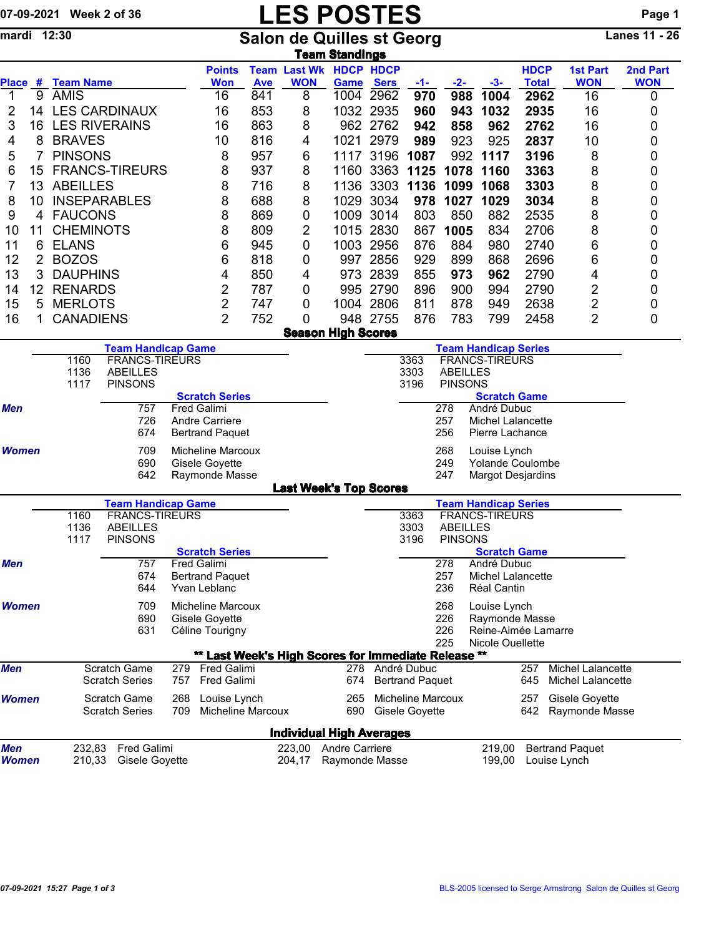| 07-09-2021 Week 2 of 36 |  |
|-------------------------|--|
|                         |  |

## 07-09-2021 Week 2 of 36 LES POSTES POSTES Page 1<br>
mardi 12:30 Salon de Quilles st Georg Lanes 11 - 26

mardi 12:30 Salon de Quilles st Georg Lanes 11 - 26 <u>Team Standings</u>

|                     |    |                                   |                                              |            | <b>Points</b>                                       |                   |                  | <b>Team Last Wk HDCP HDCP</b>    |                          |                                       |                 |                                      | <b>HDCP</b>          | <b>1st Part</b>                        | 2nd Part        |
|---------------------|----|-----------------------------------|----------------------------------------------|------------|-----------------------------------------------------|-------------------|------------------|----------------------------------|--------------------------|---------------------------------------|-----------------|--------------------------------------|----------------------|----------------------------------------|-----------------|
| 1                   | 9  | Place # Team Name<br><b>AMIS</b>  |                                              |            | <b>Won</b><br>16                                    | <b>Ave</b><br>841 | <b>WON</b><br>8  | Game                             | <b>Sers</b><br>1004 2962 | $-1-$<br>970                          | $-2-$<br>988    | $-3-$<br>1004                        | <b>Total</b><br>2962 | <b>WON</b><br>16                       | <b>WON</b><br>0 |
| 2                   |    |                                   | 14 LES CARDINAUX                             |            | 16                                                  | 853               | 8                |                                  | 1032 2935                | 960                                   | 943             | 1032                                 | 2935                 | 16                                     | 0               |
| 3                   | 16 | <b>LES RIVERAINS</b><br>16<br>863 |                                              |            |                                                     |                   | 8                |                                  | 962 2762                 | 942                                   | 858             | 962                                  | 2762                 | 16                                     | 0               |
| 4                   | 8  |                                   | 10<br><b>BRAVES</b><br>816                   |            |                                                     |                   | 4                | 1021                             | 2979                     | 989                                   | 923             | 925                                  | 2837                 | 10                                     | 0               |
| 5                   | 7  | <b>PINSONS</b><br>8               |                                              |            |                                                     | 957               | 6                | 1117                             |                          | 3196 1087                             | 992             | 1117                                 | 3196                 | 8                                      | 0               |
| 6                   | 15 | <b>FRANCS-TIREURS</b><br>8<br>937 |                                              |            |                                                     |                   | 8                | 1160                             | 3363                     | 1125                                  | 1078            | 1160                                 | 3363                 | 8                                      | 0               |
| 7                   | 13 | <b>ABEILLES</b>                   |                                              |            | 8                                                   | 716               | 8                | 1136                             |                          | 3303 1136                             | 1099            | 1068                                 | 3303                 | 8                                      | 0               |
| 8                   | 10 | <b>INSEPARABLES</b>               |                                              |            | 8                                                   | 688               | 8                | 1029                             | 3034                     | 978                                   | 1027            | 1029                                 | 3034                 | 8                                      | 0               |
| 9                   | 4  | <b>FAUCONS</b>                    |                                              |            | 8                                                   | 869               | 0                |                                  | 1009 3014                | 803                                   | 850             | 882                                  | 2535                 | 8                                      | 0               |
| 10                  | 11 | <b>CHEMINOTS</b>                  |                                              |            | 8                                                   | 809               | 2                |                                  | 1015 2830                | 867                                   | 1005            | 834                                  | 2706                 | 8                                      | 0               |
| 11                  | 6  | <b>ELANS</b>                      |                                              |            | $\,6$                                               | 945               | 0                |                                  | 1003 2956                | 876                                   | 884             | 980                                  | 2740                 | 6                                      | 0               |
| 12                  | 2  | <b>BOZOS</b>                      |                                              |            | 6                                                   | 818               | 0                |                                  | 997 2856                 | 929                                   | 899             | 868                                  | 2696                 | 6                                      | 0               |
| 13                  | 3  | <b>DAUPHINS</b>                   |                                              |            | 4                                                   | 850               | 4                |                                  | 973 2839                 | 855                                   | 973             | 962                                  | 2790                 | 4                                      | 0               |
| 14                  | 12 | <b>RENARDS</b>                    |                                              |            | $\overline{c}$                                      | 787               | 0                |                                  | 995 2790                 | 896                                   | 900             | 994                                  | 2790                 | $\overline{c}$                         | 0               |
| 15                  | 5  | <b>MERLOTS</b>                    |                                              |            | $\overline{\mathbf{c}}$                             | 747               | 0                |                                  | 1004 2806                | 811                                   | 878             | 949                                  | 2638                 | $\overline{\mathbf{c}}$                | 0               |
| 16                  | 1  | <b>CANADIENS</b>                  |                                              |            | 2                                                   | 752               | 0                |                                  | 948 2755                 | 876                                   | 783             | 799                                  | 2458                 | $\overline{2}$                         | 0               |
|                     |    |                                   |                                              |            |                                                     |                   |                  | <b>Season High Scores</b>        |                          |                                       |                 |                                      |                      |                                        |                 |
|                     |    |                                   | <b>Team Handicap Game</b>                    |            |                                                     |                   |                  |                                  |                          |                                       |                 | <b>Team Handicap Series</b>          |                      |                                        |                 |
|                     |    | 1160<br>1136                      | <b>FRANCS-TIREURS</b><br><b>ABEILLES</b>     |            |                                                     |                   |                  |                                  |                          | 3363<br>3303                          | <b>ABEILLES</b> | <b>FRANCS-TIREURS</b>                |                      |                                        |                 |
|                     |    | 1117                              | <b>PINSONS</b>                               |            |                                                     |                   |                  |                                  |                          | 3196                                  | <b>PINSONS</b>  |                                      |                      |                                        |                 |
|                     |    |                                   |                                              |            | <b>Scratch Series</b>                               |                   |                  |                                  |                          |                                       |                 | <b>Scratch Game</b>                  |                      |                                        |                 |
| Men                 |    |                                   | 757<br>726                                   |            | Fred Galimi                                         |                   |                  |                                  |                          |                                       | 278             | André Dubuc                          |                      |                                        |                 |
|                     |    |                                   | 674                                          |            | Andre Carriere<br><b>Bertrand Paquet</b>            |                   |                  |                                  |                          |                                       | 257<br>256      | Michel Lalancette<br>Pierre Lachance |                      |                                        |                 |
| <b>Women</b>        |    |                                   | 709                                          |            | <b>Micheline Marcoux</b>                            |                   |                  |                                  |                          |                                       | 268             |                                      |                      |                                        |                 |
|                     |    |                                   | 690                                          |            | Gisele Goyette                                      |                   |                  |                                  |                          |                                       | 249             | Louise Lynch<br>Yolande Coulombe     |                      |                                        |                 |
|                     |    |                                   | 642                                          |            | Raymonde Masse                                      |                   |                  |                                  |                          |                                       | 247             | <b>Margot Desjardins</b>             |                      |                                        |                 |
|                     |    |                                   |                                              |            |                                                     |                   |                  | <b>Last Week's Top Scores</b>    |                          |                                       |                 |                                      |                      |                                        |                 |
|                     |    |                                   | <b>Team Handicap Game</b>                    |            |                                                     |                   |                  |                                  |                          |                                       |                 | <b>Team Handicap Series</b>          |                      |                                        |                 |
|                     |    | 1160<br>1136                      | <b>FRANCS-TIREURS</b><br><b>ABEILLES</b>     |            |                                                     |                   |                  |                                  |                          | 3363<br>3303                          | <b>ABEILLES</b> | <b>FRANCS-TIREURS</b>                |                      |                                        |                 |
|                     |    | 1117                              | <b>PINSONS</b>                               |            |                                                     |                   |                  |                                  |                          | 3196                                  | <b>PINSONS</b>  |                                      |                      |                                        |                 |
|                     |    |                                   |                                              |            | <b>Scratch Series</b>                               |                   |                  |                                  |                          |                                       |                 | <b>Scratch Game</b>                  |                      |                                        |                 |
| <b>Men</b>          |    |                                   | 757                                          |            | <b>Fred Galimi</b>                                  |                   |                  |                                  |                          |                                       | 278             | André Dubuc                          |                      |                                        |                 |
|                     |    |                                   | 674<br>644                                   |            | <b>Bertrand Paquet</b><br>Yvan Leblanc              |                   |                  |                                  |                          |                                       | 257<br>236      | Michel Lalancette<br>Réal Cantin     |                      |                                        |                 |
|                     |    |                                   |                                              |            |                                                     |                   |                  |                                  |                          |                                       |                 |                                      |                      |                                        |                 |
| <b>Women</b>        |    |                                   | 709<br>690                                   |            | Micheline Marcoux<br>Gisele Goyette                 |                   |                  |                                  |                          |                                       | 268<br>226      | Louise Lynch<br>Raymonde Masse       |                      |                                        |                 |
|                     |    |                                   | 631                                          |            | Céline Tourigny                                     |                   |                  |                                  |                          |                                       | 226             | Reine-Aimée Lamarre                  |                      |                                        |                 |
|                     |    |                                   |                                              |            |                                                     |                   |                  |                                  |                          |                                       | 225             | Nicole Ouellette                     |                      |                                        |                 |
|                     |    |                                   |                                              |            | ** Last Week's High Scores for Immediate Release ** |                   |                  |                                  |                          |                                       |                 |                                      |                      |                                        |                 |
| Men                 |    |                                   | Scratch Game<br><b>Scratch Series</b>        | 757        | 279 Fred Galimi<br><b>Fred Galimi</b>               |                   |                  | 278<br>674                       |                          | André Dubuc<br><b>Bertrand Paquet</b> |                 |                                      | 257<br>645           | Michel Lalancette<br>Michel Lalancette |                 |
|                     |    |                                   |                                              |            |                                                     |                   |                  |                                  |                          | Micheline Marcoux                     |                 |                                      |                      |                                        |                 |
| <b>Women</b>        |    |                                   | <b>Scratch Game</b><br><b>Scratch Series</b> | 268<br>709 | Louise Lynch<br><b>Micheline Marcoux</b>            |                   |                  | 265<br>690                       |                          | Gisele Goyette                        |                 |                                      | 257<br>642           | Gisele Goyette<br>Raymonde Masse       |                 |
|                     |    |                                   |                                              |            |                                                     |                   |                  |                                  |                          |                                       |                 |                                      |                      |                                        |                 |
|                     |    |                                   |                                              |            |                                                     |                   |                  | <b>Individual High Averages</b>  |                          |                                       |                 |                                      |                      |                                        |                 |
| Men<br><b>Women</b> |    | 232,83<br>210,33                  | <b>Fred Galimi</b><br>Gisele Goyette         |            |                                                     |                   | 223,00<br>204,17 | Andre Carriere<br>Raymonde Masse |                          |                                       |                 | 219,00<br>199,00                     |                      | <b>Bertrand Paquet</b><br>Louise Lynch |                 |
|                     |    |                                   |                                              |            |                                                     |                   |                  |                                  |                          |                                       |                 |                                      |                      |                                        |                 |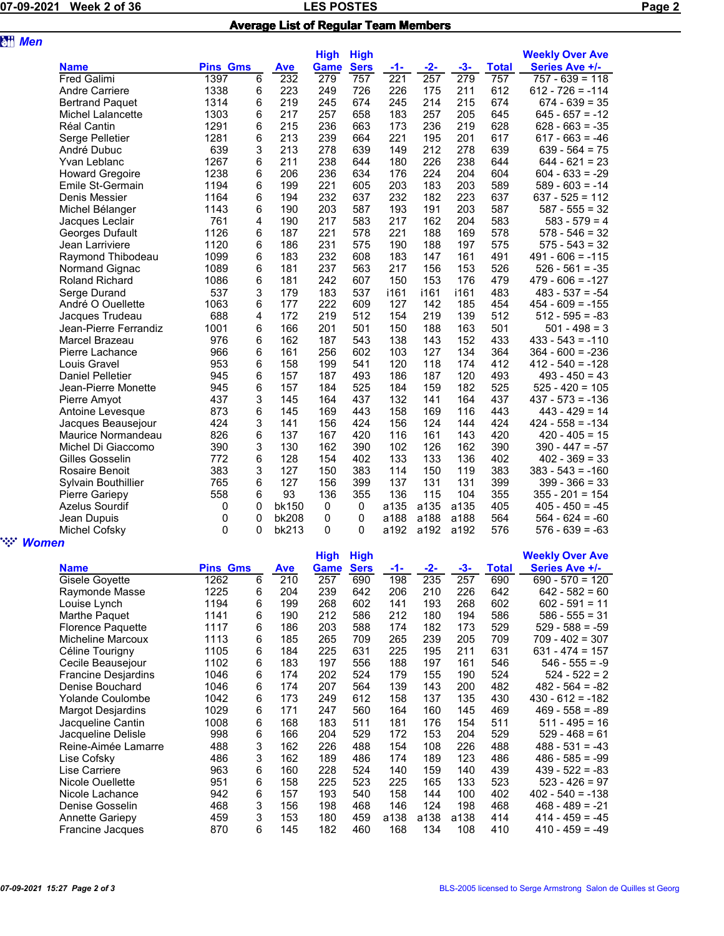## LES POSTES POSTES PAGE 2 OF 36 NOVEMBER 2 OF 36 NO 2021 WEEK 2 OF 36 NO 36 NO 37 NO 37 NO 37 NO 37 NO 37 NO 37 Average List of Regular Team Members

| <b>att</b> Men |                        |                 |   |            |                            |                            |                  |       |                  |              |                                          |
|----------------|------------------------|-----------------|---|------------|----------------------------|----------------------------|------------------|-------|------------------|--------------|------------------------------------------|
|                | <b>Name</b>            | <b>Pins Gms</b> |   | <b>Ave</b> | <b>High</b><br><b>Game</b> | <b>High</b><br><b>Sers</b> | -1-              | $-2-$ | $-3-$            | <b>Total</b> | <b>Weekly Over Ave</b><br>Series Ave +/- |
|                | <b>Fred Galimi</b>     | 1397            | 6 | 232        | 279                        | 757                        | $\overline{221}$ | 257   | $\overline{279}$ | 757          | $757 - 639 = 118$                        |
|                | <b>Andre Carriere</b>  | 1338            | 6 | 223        | 249                        | 726                        | 226              | 175   | 211              | 612          | $612 - 726 = -114$                       |
|                | <b>Bertrand Paquet</b> | 1314            | 6 | 219        | 245                        | 674                        | 245              | 214   | 215              | 674          | $674 - 639 = 35$                         |
|                | Michel Lalancette      | 1303            | 6 | 217        | 257                        | 658                        | 183              | 257   | 205              | 645          | $645 - 657 = -12$                        |
|                | Réal Cantin            | 1291            | 6 | 215        | 236                        | 663                        | 173              | 236   | 219              | 628          | $628 - 663 = -35$                        |
|                | Serge Pelletier        | 1281            | 6 | 213        | 239                        | 664                        | 221              | 195   | 201              | 617          | $617 - 663 = -46$                        |
|                | André Dubuc            | 639             | 3 | 213        | 278                        | 639                        | 149              | 212   | 278              | 639          | $639 - 564 = 75$                         |
|                | Yvan Leblanc           | 1267            | 6 | 211        | 238                        | 644                        | 180              | 226   | 238              | 644          | $644 - 621 = 23$                         |
|                | <b>Howard Gregoire</b> | 1238            | 6 | 206        | 236                        | 634                        | 176              | 224   | 204              | 604          | $604 - 633 = -29$                        |
|                | Emile St-Germain       | 1194            | 6 | 199        | 221                        | 605                        | 203              | 183   | 203              | 589          | $589 - 603 = -14$                        |
|                | Denis Messier          | 1164            | 6 | 194        | 232                        | 637                        | 232              | 182   | 223              | 637          | $637 - 525 = 112$                        |
|                | Michel Bélanger        | 1143            | 6 | 190        | 203                        | 587                        | 193              | 191   | 203              | 587          | $587 - 555 = 32$                         |
|                | Jacques Leclair        | 761             | 4 | 190        | 217                        | 583                        | 217              | 162   | 204              | 583          | $583 - 579 = 4$                          |
|                | Georges Dufault        | 1126            | 6 | 187        | 221                        | 578                        | 221              | 188   | 169              | 578          | $578 - 546 = 32$                         |
|                | Jean Larriviere        | 1120            | 6 | 186        | 231                        | 575                        | 190              | 188   | 197              | 575          | $575 - 543 = 32$                         |
|                | Raymond Thibodeau      | 1099            | 6 | 183        | 232                        | 608                        | 183              | 147   | 161              | 491          | $491 - 606 = -115$                       |
|                | Normand Gignac         | 1089            | 6 | 181        | 237                        | 563                        | 217              | 156   | 153              | 526          | $526 - 561 = -35$                        |
|                | <b>Roland Richard</b>  | 1086            | 6 | 181        | 242                        | 607                        | 150              | 153   | 176              | 479          | $479 - 606 = -127$                       |
|                | Serge Durand           | 537             | 3 | 179        | 183                        | 537                        | i161             | i161  | i161             | 483          | $483 - 537 = -54$                        |
|                | André O Ouellette      | 1063            | 6 | 177        | 222                        | 609                        | 127              | 142   | 185              | 454          | $454 - 609 = -155$                       |
|                | Jacques Trudeau        | 688             | 4 | 172        | 219                        | 512                        | 154              | 219   | 139              | 512          | $512 - 595 = -83$                        |
|                | Jean-Pierre Ferrandiz  | 1001            | 6 | 166        | 201                        | 501                        | 150              | 188   | 163              | 501          | $501 - 498 = 3$                          |
|                | Marcel Brazeau         | 976             | 6 | 162        | 187                        | 543                        | 138              | 143   | 152              | 433          | $433 - 543 = -110$                       |
|                | Pierre Lachance        | 966             | 6 | 161        | 256                        | 602                        | 103              | 127   | 134              | 364          | $364 - 600 = -236$                       |
|                | Louis Gravel           | 953             | 6 | 158        | 199                        | 541                        | 120              | 118   | 174              | 412          | $412 - 540 = -128$                       |
|                | Daniel Pelletier       | 945             | 6 | 157        | 187                        | 493                        | 186              | 187   | 120              | 493          | $493 - 450 = 43$                         |
|                | Jean-Pierre Monette    | 945             | 6 | 157        | 184                        | 525                        | 184              | 159   | 182              | 525          | $525 - 420 = 105$                        |
|                | Pierre Amyot           | 437             | 3 | 145        | 164                        | 437                        | 132              | 141   | 164              | 437          | $437 - 573 = -136$                       |
|                | Antoine Levesque       | 873             | 6 | 145        | 169                        | 443                        | 158              | 169   | 116              | 443          | $443 - 429 = 14$                         |
|                | Jacques Beausejour     | 424             | 3 | 141        | 156                        | 424                        | 156              | 124   | 144              | 424          | $424 - 558 = -134$                       |
|                | Maurice Normandeau     | 826             | 6 | 137        | 167                        | 420                        | 116              | 161   | 143              | 420          | $420 - 405 = 15$                         |
|                | Michel Di Giaccomo     | 390             | 3 | 130        | 162                        | 390                        | 102              | 126   | 162              | 390          | $390 - 447 = -57$                        |
|                | Gilles Gosselin        | 772             | 6 | 128        | 154                        | 402                        | 133              | 133   | 136              | 402          | $402 - 369 = 33$                         |
|                | <b>Rosaire Benoit</b>  | 383             | 3 | 127        | 150                        | 383                        | 114              | 150   | 119              | 383          | $383 - 543 = -160$                       |
|                | Sylvain Bouthillier    | 765             | 6 | 127        | 156                        | 399                        | 137              | 131   | 131              | 399          | $399 - 366 = 33$                         |
|                | Pierre Gariepy         | 558             | 6 | 93         | 136                        | 355                        | 136              | 115   | 104              | 355          | $355 - 201 = 154$                        |
|                | Azelus Sourdif         | 0               | 0 | bk150      | $\mathbf 0$                | 0                          | a135             | a135  | a135             | 405          | $405 - 450 = -45$                        |
|                | Jean Dupuis            | 0               | 0 | bk208      | 0                          | 0                          | a188             | a188  | a188             | 564          | $564 - 624 = -60$                        |
|                | Michel Cofsky          | $\mathbf{0}$    | 0 | bk213      | 0                          | 0                          | a192             | a192  | a192             | 576          | $576 - 639 = -63$                        |
| <b>Women</b>   |                        |                 |   |            | <b>THE STATE</b>           | <b>CONTRACTOR</b>          |                  |       |                  |              | $M = -1.1, \ldots, -1.5$                 |
|                |                        |                 |   |            |                            |                            |                  |       |                  |              |                                          |

|                            |                 |   |            | <b>High</b> | <b>High</b> |      |       |      |       | <b>Weekly Over Ave</b> |
|----------------------------|-----------------|---|------------|-------------|-------------|------|-------|------|-------|------------------------|
| <b>Name</b>                | <b>Pins Gms</b> |   | <b>Ave</b> | Game        | <b>Sers</b> | -1-  | $-2-$ | -3-  | Total | Series Ave +/-         |
| Gisele Goyette             | 1262            | 6 | 210        | 257         | 690         | 198  | 235   | 257  | 690   | $690 - 570 = 120$      |
| Raymonde Masse             | 1225            | 6 | 204        | 239         | 642         | 206  | 210   | 226  | 642   | $642 - 582 = 60$       |
| Louise Lynch               | 1194            | 6 | 199        | 268         | 602         | 141  | 193   | 268  | 602   | $602 - 591 = 11$       |
| Marthe Paquet              | 1141            | 6 | 190        | 212         | 586         | 212  | 180   | 194  | 586   | $586 - 555 = 31$       |
| <b>Florence Paquette</b>   | 1117            | 6 | 186        | 203         | 588         | 174  | 182   | 173  | 529   | $529 - 588 = -59$      |
| Micheline Marcoux          | 1113            | 6 | 185        | 265         | 709         | 265  | 239   | 205  | 709   | 709 - 402 = 307        |
| Céline Tourigny            | 1105            | 6 | 184        | 225         | 631         | 225  | 195   | 211  | 631   | $631 - 474 = 157$      |
| Cecile Beausejour          | 1102            | 6 | 183        | 197         | 556         | 188  | 197   | 161  | 546   | $546 - 555 = -9$       |
| <b>Francine Desjardins</b> | 1046            | 6 | 174        | 202         | 524         | 179  | 155   | 190  | 524   | $524 - 522 = 2$        |
| Denise Bouchard            | 1046            | 6 | 174        | 207         | 564         | 139  | 143   | 200  | 482   | $482 - 564 = -82$      |
| <b>Yolande Coulombe</b>    | 1042            | 6 | 173        | 249         | 612         | 158  | 137   | 135  | 430   | $430 - 612 = -182$     |
| <b>Margot Desjardins</b>   | 1029            | 6 | 171        | 247         | 560         | 164  | 160   | 145  | 469   | $469 - 558 = -89$      |
| Jacqueline Cantin          | 1008            | 6 | 168        | 183         | 511         | 181  | 176   | 154  | 511   | $511 - 495 = 16$       |
| Jacqueline Delisle         | 998             | 6 | 166        | 204         | 529         | 172  | 153   | 204  | 529   | $529 - 468 = 61$       |
| Reine-Aimée Lamarre        | 488             | 3 | 162        | 226         | 488         | 154  | 108   | 226  | 488   | $488 - 531 = -43$      |
| Lise Cofsky                | 486             | 3 | 162        | 189         | 486         | 174  | 189   | 123  | 486   | $486 - 585 = -99$      |
| Lise Carriere              | 963             | 6 | 160        | 228         | 524         | 140  | 159   | 140  | 439   | $439 - 522 = -83$      |
| Nicole Ouellette           | 951             | 6 | 158        | 225         | 523         | 225  | 165   | 133  | 523   | $523 - 426 = 97$       |
| Nicole Lachance            | 942             | 6 | 157        | 193         | 540         | 158  | 144   | 100  | 402   | $402 - 540 = -138$     |
| Denise Gosselin            | 468             | 3 | 156        | 198         | 468         | 146  | 124   | 198  | 468   | $468 - 489 = -21$      |
| <b>Annette Gariepy</b>     | 459             | 3 | 153        | 180         | 459         | a138 | a138  | a138 | 414   | $414 - 459 = -45$      |
| Francine Jacques           | 870             | 6 | 145        | 182         | 460         | 168  | 134   | 108  | 410   | $410 - 459 = -49$      |